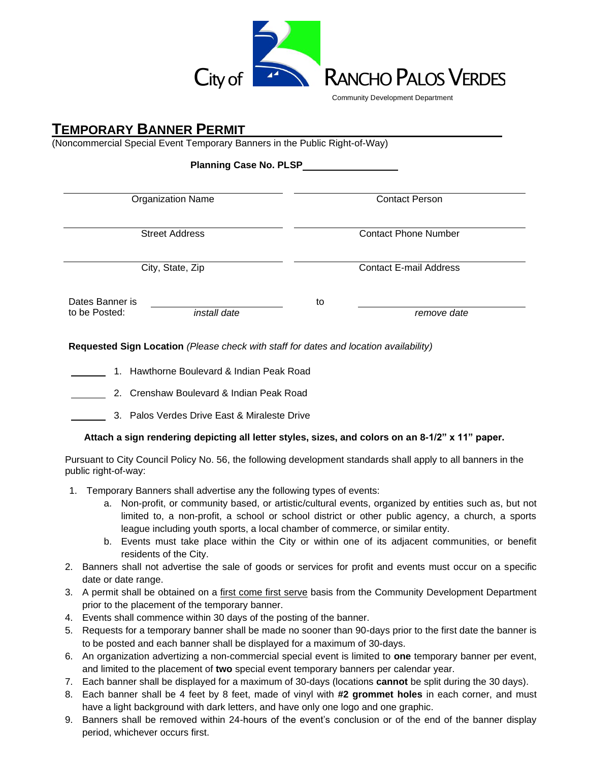

## **TEMPORARY BANNER PERMIT**

(Noncommercial Special Event Temporary Banners in the Public Right-of-Way)

| <b>Planning Case No. PLSP_</b> |  |  |  |
|--------------------------------|--|--|--|
|--------------------------------|--|--|--|

| <b>Organization Name</b>      | <b>Contact Person</b>         |  |  |
|-------------------------------|-------------------------------|--|--|
|                               |                               |  |  |
| <b>Street Address</b>         | <b>Contact Phone Number</b>   |  |  |
|                               |                               |  |  |
| City, State, Zip              | <b>Contact E-mail Address</b> |  |  |
| Dates Banner is               | to                            |  |  |
| to be Posted:<br>install date | remove date                   |  |  |
|                               |                               |  |  |

**Requested Sign Location** *(Please check with staff for dates and location availability)*

- 1. Hawthorne Boulevard & Indian Peak Road
	- 2. Crenshaw Boulevard & Indian Peak Road
	- 3. Palos Verdes Drive East & Miraleste Drive

#### **Attach a sign rendering depicting all letter styles, sizes, and colors on an 8-1/2" x 11" paper.**

Pursuant to City Council Policy No. 56, the following development standards shall apply to all banners in the public right-of-way:

- 1. Temporary Banners shall advertise any the following types of events:
	- a. Non-profit, or community based, or artistic/cultural events, organized by entities such as, but not limited to, a non-profit, a school or school district or other public agency, a church, a sports league including youth sports, a local chamber of commerce, or similar entity.
	- b. Events must take place within the City or within one of its adjacent communities, or benefit residents of the City.
- 2. Banners shall not advertise the sale of goods or services for profit and events must occur on a specific date or date range.
- 3. A permit shall be obtained on a first come first serve basis from the Community Development Department prior to the placement of the temporary banner.
- 4. Events shall commence within 30 days of the posting of the banner.
- 5. Requests for a temporary banner shall be made no sooner than 90-days prior to the first date the banner is to be posted and each banner shall be displayed for a maximum of 30-days.
- 6. An organization advertizing a non-commercial special event is limited to **one** temporary banner per event, and limited to the placement of **two** special event temporary banners per calendar year.
- 7. Each banner shall be displayed for a maximum of 30-days (locations **cannot** be split during the 30 days).
- 8. Each banner shall be 4 feet by 8 feet, made of vinyl with **#2 grommet holes** in each corner, and must have a light background with dark letters, and have only one logo and one graphic.
- 9. Banners shall be removed within 24-hours of the event's conclusion or of the end of the banner display period, whichever occurs first.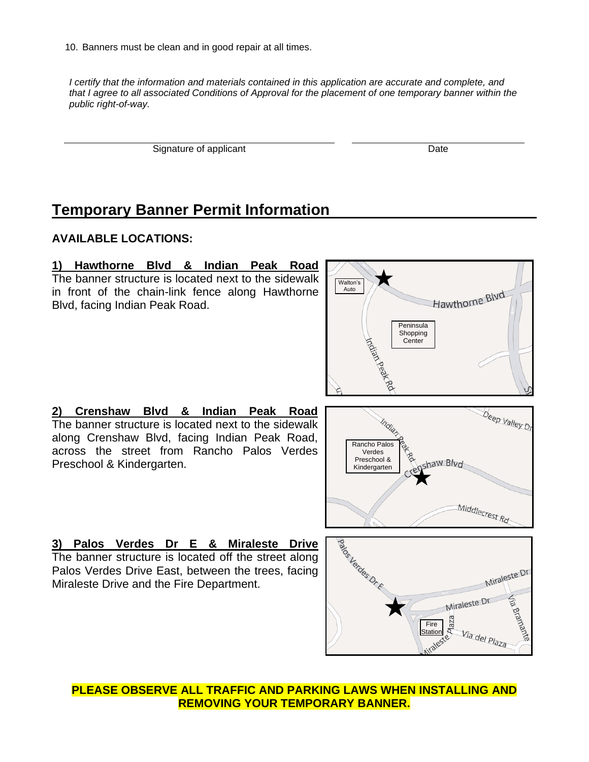10. Banners must be clean and in good repair at all times.

*I certify that the information and materials contained in this application are accurate and complete, and that I agree to all associated Conditions of Approval for the placement of one temporary banner within the public right-of-way.*

Signature of applicant Date Date Date Date

# **Temporary Banner Permit Information**

## **AVAILABLE LOCATIONS:**

#### **1) Hawthorne Blvd & Indian Peak Road** The banner structure is located next to the sidewalk Walton's Autoin front of the chain-link fence along Hawthorne Hawthorne Blvd Blvd, facing Indian Peak Road. **Peninsula** Shopping **Center 2) Crenshaw Blvd & Indian Peak Road** Deep Valley Dr The banner structure is located next to the sidewalk along Crenshaw Blvd, facing Indian Peak Road, Rancho Palos across the street from Rancho Palos Verdes Verdes Preschool & haw Blvd Preschool & Kindergarten. Kindergarten Middlecrest Rd

**3) Palos Verdes Dr E & Miraleste Drive** The banner structure is located off the street along Palos Verdes Drive East, between the trees, facing Miraleste Drive and the Fire Department.



**PLEASE OBSERVE ALL TRAFFIC AND PARKING LAWS WHEN INSTALLING AND REMOVING YOUR TEMPORARY BANNER.**